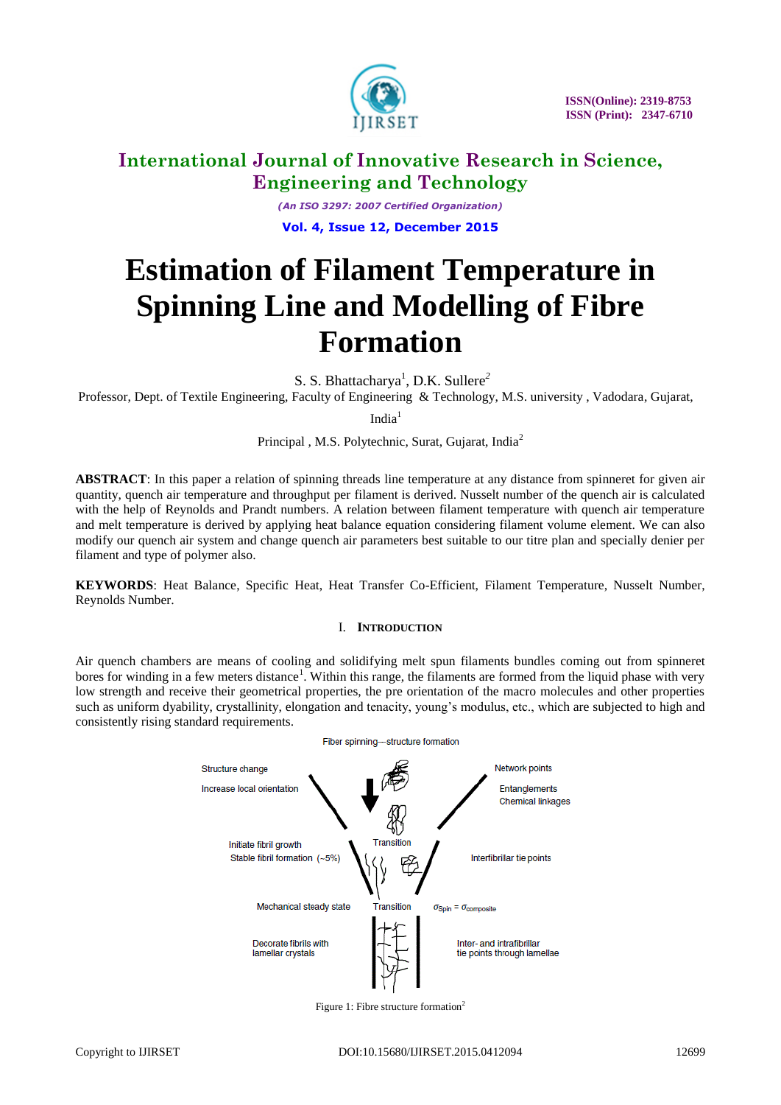

*(An ISO 3297: 2007 Certified Organization)* **Vol. 4, Issue 12, December 2015**

# **Estimation of Filament Temperature in Spinning Line and Modelling of Fibre Formation**

S. S. Bhattacharya<sup>1</sup>, D.K. Sullere<sup>2</sup>

Professor, Dept. of Textile Engineering, Faculty of Engineering & Technology, M.S. university , Vadodara, Gujarat,

 $India<sup>1</sup>$ 

Principal , M.S. Polytechnic, Surat, Gujarat, India<sup>2</sup>

**ABSTRACT**: In this paper a relation of spinning threads line temperature at any distance from spinneret for given air quantity, quench air temperature and throughput per filament is derived. Nusselt number of the quench air is calculated with the help of Reynolds and Prandt numbers. A relation between filament temperature with quench air temperature and melt temperature is derived by applying heat balance equation considering filament volume element. We can also modify our quench air system and change quench air parameters best suitable to our titre plan and specially denier per filament and type of polymer also.

**KEYWORDS**: Heat Balance, Specific Heat, Heat Transfer Co-Efficient, Filament Temperature, Nusselt Number, Reynolds Number.

### I. **INTRODUCTION**

Air quench chambers are means of cooling and solidifying melt spun filaments bundles coming out from spinneret bores for winding in a few meters distance<sup>1</sup>. Within this range, the filaments are formed from the liquid phase with very low strength and receive their geometrical properties, the pre orientation of the macro molecules and other properties such as uniform dyability, crystallinity, elongation and tenacity, young's modulus, etc., which are subjected to high and consistently rising standard requirements.



Figure 1: Fibre structure formation<sup>2</sup>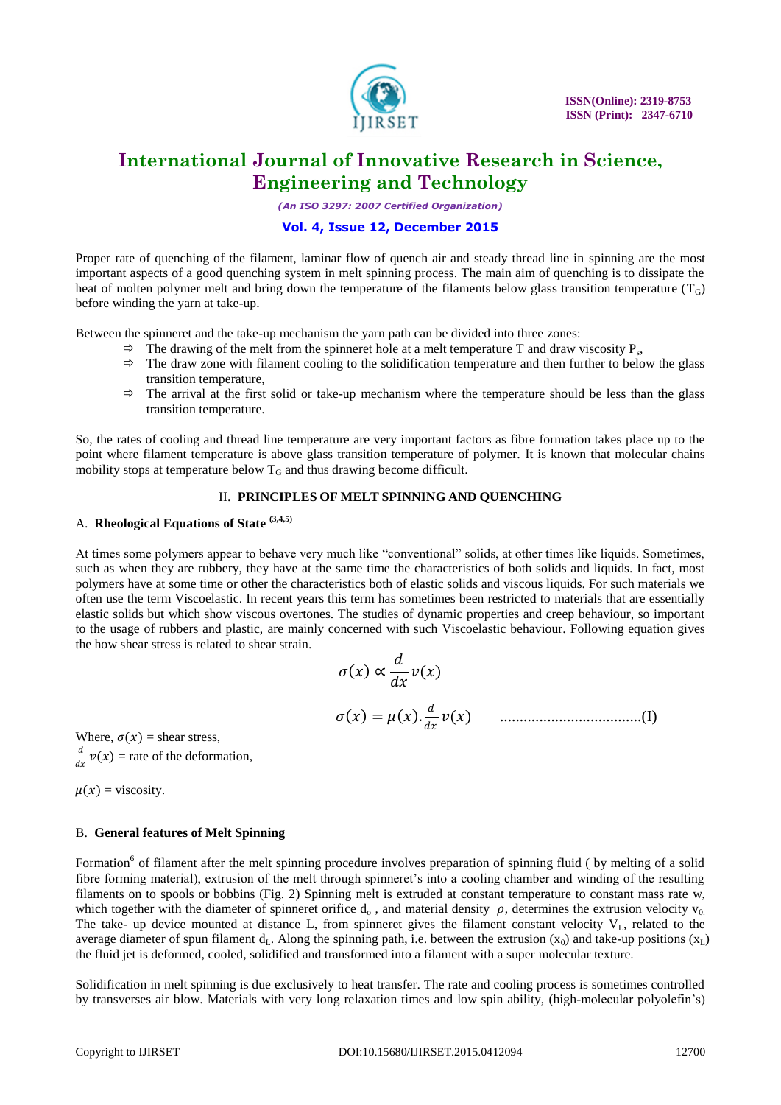

*(An ISO 3297: 2007 Certified Organization)*

### **Vol. 4, Issue 12, December 2015**

Proper rate of quenching of the filament, laminar flow of quench air and steady thread line in spinning are the most important aspects of a good quenching system in melt spinning process. The main aim of quenching is to dissipate the heat of molten polymer melt and bring down the temperature of the filaments below glass transition temperature  $(T_G)$ before winding the yarn at take-up.

Between the spinneret and the take-up mechanism the yarn path can be divided into three zones:

- $\Rightarrow$  The drawing of the melt from the spinneret hole at a melt temperature T and draw viscosity P<sub>s</sub>,
- $\Rightarrow$  The draw zone with filament cooling to the solidification temperature and then further to below the glass transition temperature,
- $\Rightarrow$  The arrival at the first solid or take-up mechanism where the temperature should be less than the glass transition temperature.

So, the rates of cooling and thread line temperature are very important factors as fibre formation takes place up to the point where filament temperature is above glass transition temperature of polymer. It is known that molecular chains mobility stops at temperature below  $T_G$  and thus drawing become difficult.

### II. **PRINCIPLES OF MELT SPINNING AND QUENCHING**

# A. **Rheological Equations of State (3,4,5)**

At times some polymers appear to behave very much like "conventional" solids, at other times like liquids. Sometimes, such as when they are rubbery, they have at the same time the characteristics of both solids and liquids. In fact, most polymers have at some time or other the characteristics both of elastic solids and viscous liquids. For such materials we often use the term Viscoelastic. In recent years this term has sometimes been restricted to materials that are essentially elastic solids but which show viscous overtones. The studies of dynamic properties and creep behaviour, so important to the usage of rubbers and plastic, are mainly concerned with such Viscoelastic behaviour. Following equation gives the how shear stress is related to shear strain.

$$
\sigma(x) \propto \frac{d}{dx} v(x)
$$
  

$$
\sigma(x) = \mu(x) \cdot \frac{d}{dx} v(x)
$$
.................(I)

Where,  $\sigma(x)$  = shear stress,  $\boldsymbol{d}$  $\frac{u}{dx}v(x)$  = rate of the deformation,

 $\mu(x)$  = viscosity.

#### B. **General features of Melt Spinning**

Formation<sup>6</sup> of filament after the melt spinning procedure involves preparation of spinning fluid ( by melting of a solid fibre forming material), extrusion of the melt through spinneret's into a cooling chamber and winding of the resulting filaments on to spools or bobbins (Fig. 2) Spinning melt is extruded at constant temperature to constant mass rate w, which together with the diameter of spinneret orifice  $d_0$ , and material density  $\rho$ , determines the extrusion velocity  $v_0$ . The take- up device mounted at distance L, from spinneret gives the filament constant velocity  $V<sub>L</sub>$ , related to the average diameter of spun filament  $d_L$ . Along the spinning path, i.e. between the extrusion  $(x_0)$  and take-up positions  $(x_L)$ the fluid jet is deformed, cooled, solidified and transformed into a filament with a super molecular texture.

Solidification in melt spinning is due exclusively to heat transfer. The rate and cooling process is sometimes controlled by transverses air blow. Materials with very long relaxation times and low spin ability, (high-molecular polyolefin's)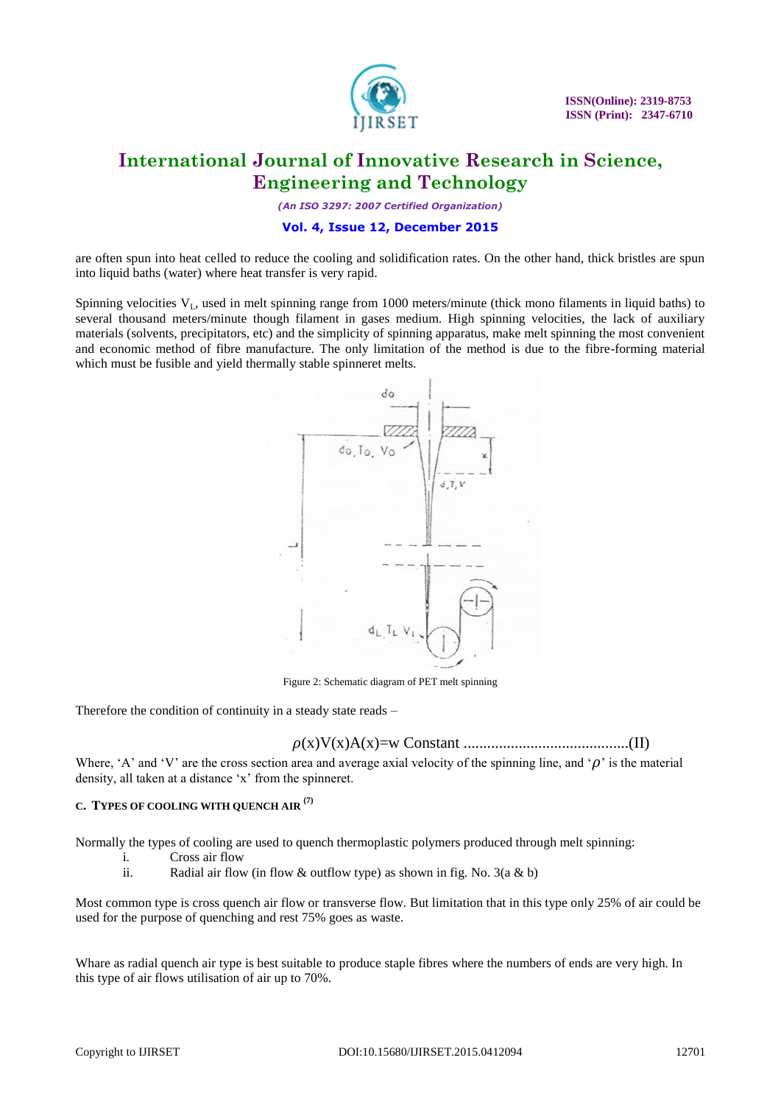![](_page_2_Picture_0.jpeg)

*(An ISO 3297: 2007 Certified Organization)*

# **Vol. 4, Issue 12, December 2015**

are often spun into heat celled to reduce the cooling and solidification rates. On the other hand, thick bristles are spun into liquid baths (water) where heat transfer is very rapid.

Spinning velocities  $V<sub>L</sub>$ , used in melt spinning range from 1000 meters/minute (thick mono filaments in liquid baths) to several thousand meters/minute though filament in gases medium. High spinning velocities, the lack of auxiliary materials (solvents, precipitators, etc) and the simplicity of spinning apparatus, make melt spinning the most convenient and economic method of fibre manufacture. The only limitation of the method is due to the fibre-forming material which must be fusible and yield thermally stable spinneret melts.

![](_page_2_Figure_7.jpeg)

Figure 2: Schematic diagram of PET melt spinning

Therefore the condition of continuity in a steady state reads –

(x)V(x)A(x)=w Constant ..........................................(II)

Where, 'A' and 'V' are the cross section area and average axial velocity of the spinning line, and ' $\rho$ ' is the material density, all taken at a distance 'x' from the spinneret.

# **<sup>C</sup>. TYPES OF COOLING WITH QUENCH AIR (7)**

Normally the types of cooling are used to quench thermoplastic polymers produced through melt spinning:

- i. Cross air flow
- ii. Radial air flow (in flow  $\&$  outflow type) as shown in fig. No. 3(a  $\&$  b)

Most common type is cross quench air flow or transverse flow. But limitation that in this type only 25% of air could be used for the purpose of quenching and rest 75% goes as waste.

Whare as radial quench air type is best suitable to produce staple fibres where the numbers of ends are very high. In this type of air flows utilisation of air up to 70%.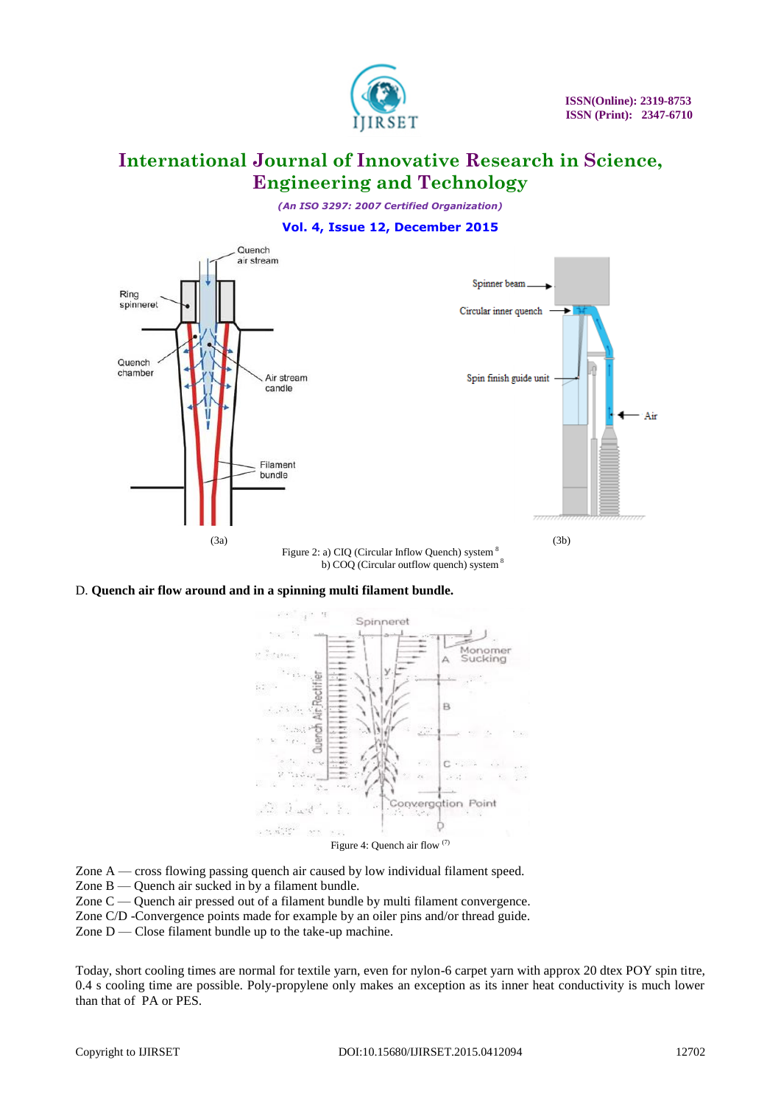![](_page_3_Picture_0.jpeg)

*(An ISO 3297: 2007 Certified Organization)*

### **Vol. 4, Issue 12, December 2015**

![](_page_3_Figure_5.jpeg)

#### D. **Quench air flow around and in a spinning multi filament bundle.**

![](_page_3_Figure_7.jpeg)

Figure 4: Quench air flow (7)

Zone A — cross flowing passing quench air caused by low individual filament speed.

Zone B — Quench air sucked in by a filament bundle.

Zone C — Quench air pressed out of a filament bundle by multi filament convergence.

Zone C/D -Convergence points made for example by an oiler pins and/or thread guide.

Zone  $D$  — Close filament bundle up to the take-up machine.

Today, short cooling times are normal for textile yarn, even for nylon-6 carpet yarn with approx 20 dtex POY spin titre, 0.4 s cooling time are possible. Poly-propylene only makes an exception as its inner heat conductivity is much lower than that of PA or PES.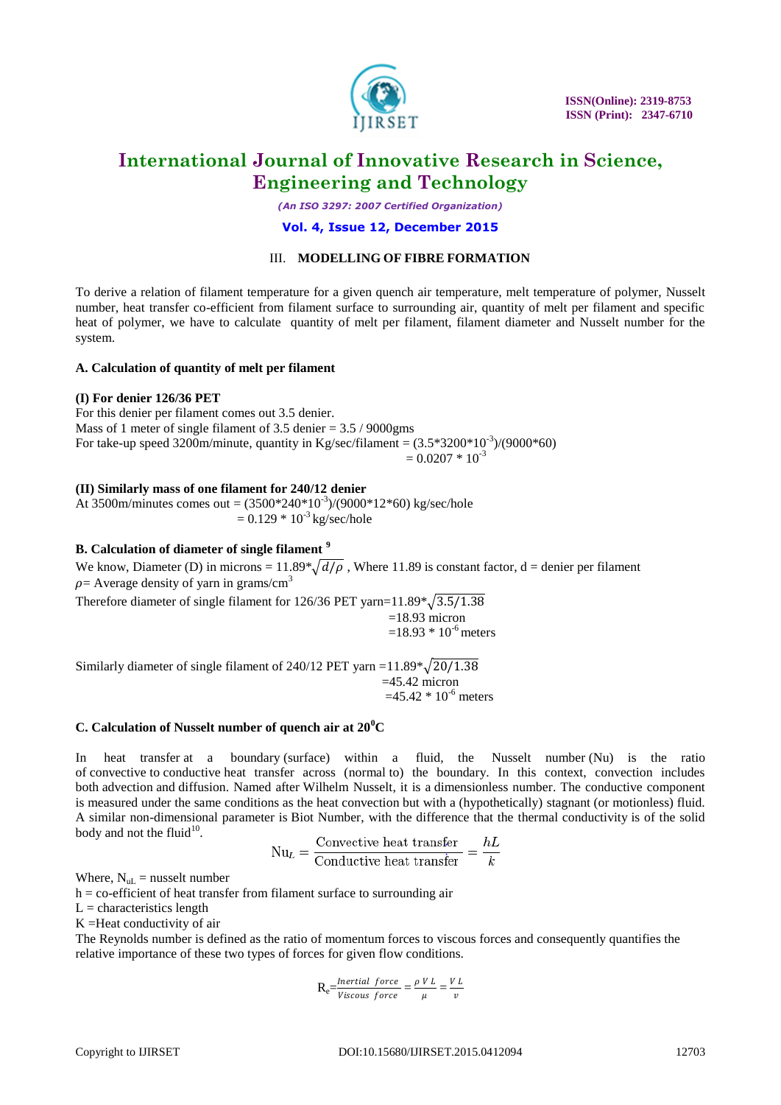![](_page_4_Picture_0.jpeg)

 **ISSN(Online): 2319-8753 ISSN (Print): 2347-6710** 

# **International Journal of Innovative Research in Science, Engineering and Technology**

*(An ISO 3297: 2007 Certified Organization)*

#### **Vol. 4, Issue 12, December 2015**

### III. **MODELLING OF FIBRE FORMATION**

To derive a relation of filament temperature for a given quench air temperature, melt temperature of polymer, Nusselt number, heat transfer co-efficient from filament surface to surrounding air, quantity of melt per filament and specific heat of polymer, we have to calculate quantity of melt per filament, filament diameter and Nusselt number for the system.

#### **A. Calculation of quantity of melt per filament**

#### **(I) For denier 126/36 PET**

For this denier per filament comes out 3.5 denier. Mass of 1 meter of single filament of  $3.5$  denier =  $3.5 / 9000$ gms For take-up speed 3200m/minute, quantity in Kg/sec/filament =  $(3.5*3200*10^{-3})/(9000*60)$  $= 0.0207 * 10^{-3}$ 

#### **(II) Similarly mass of one filament for 240/12 denier**

At 3500m/minutes comes out =  $(3500*240*10^{-3})/(9000*12*60)$  kg/sec/hole  $= 0.129 * 10^{-3}$  kg/sec/hole

# **B. Calculation of diameter of single filament <sup>9</sup>**

We know, Diameter (D) in microns =  $11.89*\sqrt{d/\rho}$ , Where 11.89 is constant factor, d = denier per filament  $\rho$  = Average density of yarn in grams/cm<sup>3</sup>

Therefore diameter of single filament for 126/36 PET yarn= $11.89 \times \sqrt{3.5/1.38}$ 

$$
=18.93
$$
 micron  

$$
=18.93 * 10-6
$$
 meters

Similarly diameter of single filament of 240/12 PET yarn =  $11.89 \times \sqrt{20/1.38}$  $=45.42$  micron  $=45.42 * 10^{-6}$  meters

#### **C. Calculation of Nusselt number of quench air at 20<sup>0</sup>C**

In [heat transfer](https://en.wikipedia.org/wiki/Heat_transfer) at a [boundary](https://en.wikipedia.org/wiki/Boundary_(thermodynamic)) (surface) within a [fluid,](https://en.wikipedia.org/wiki/Fluid) the Nusselt number (Nu) is the ratio of [convective](https://en.wikipedia.org/wiki/Convection) to [conductive](https://en.wikipedia.org/wiki/Heat_conduction) heat transfer across [\(normal](https://en.wikipedia.org/wiki/Normal_(geometry)) to) the boundary. In this context, convection includes both [advection](https://en.wikipedia.org/wiki/Advection) and [diffusion.](https://en.wikipedia.org/wiki/Diffusion) Named after [Wilhelm Nusselt,](https://en.wikipedia.org/wiki/Wilhelm_Nusselt) it is a [dimensionless number.](https://en.wikipedia.org/wiki/Dimensionless_number) The conductive component is measured under the same conditions as the heat convection but with a (hypothetically) [stagnant](https://en.wiktionary.org/wiki/stagnant) (or motionless) fluid. A similar non-dimensional parameter is [Biot Number,](https://en.wikipedia.org/wiki/Biot_Number) with the difference that the [thermal conductivity](https://en.wikipedia.org/wiki/Thermal_conductivity) is of the solid body and not the fluid $1^{10}$ .  $\ddot{\phantom{a}}$ 

$$
Nu_L = \frac{Convective heat transfer}{Conductive heat transfer} = \frac{hL}{k}
$$

Where,  $N_{\text{ul}}$  = nusselt number

 $h =$  co-efficient of heat transfer from filament surface to surrounding air

 $L =$  characteristics length

K =Heat conductivity of air

The Reynolds number is defined as the [ratio](https://en.wikipedia.org/wiki/Ratio) of momentum forces to [viscous](https://en.wikipedia.org/wiki/Viscous) forces and consequently quantifies the relative importance of these two types of forces for given flow conditions.

$$
R_e = \frac{Inertial\ force}{Viscous\ force} = \frac{\rho \, V \, L}{\mu} = \frac{V \, L}{\nu}
$$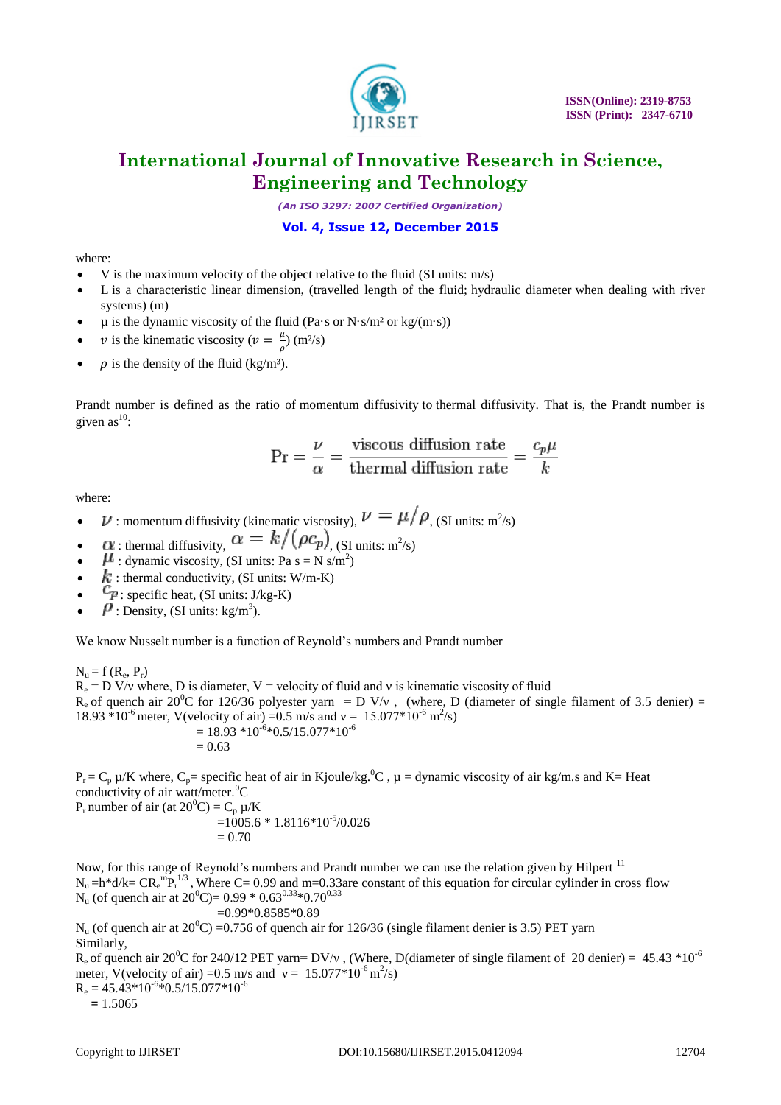![](_page_5_Picture_0.jpeg)

*(An ISO 3297: 2007 Certified Organization)*

# **Vol. 4, Issue 12, December 2015**

### where:

- $\bullet$  V is the maximum velocity of the object relative to the fluid [\(SI units:](https://en.wikipedia.org/wiki/SI_units) m/s)
- L is a characteristic linear dimension, (travelled length of the fluid; [hydraulic diameter](https://en.wikipedia.org/wiki/Hydraulic_diameter) when dealing with river systems) (m)
- $\mu$  is the [dynamic viscosity](https://en.wikipedia.org/wiki/Dynamic_viscosity) of the [fluid](https://en.wikipedia.org/wiki/Fluid) (Pa·s or N·s/m<sup>2</sup> or kg/(m·s))
- v is the [kinematic viscosity](https://en.wikipedia.org/wiki/Kinematic_viscosity) ( $v = \frac{\mu}{2}$  $\frac{\mu}{\rho}$ ) (m<sup>2</sup>/s)
- $\rho$  is the [density](https://en.wikipedia.org/wiki/Density) of the fluid (kg/m<sup>3</sup>).

Prandt number is defined as the ratio of [momentum diffusivity](https://en.wikipedia.org/wiki/Viscosity#Kinematic_viscosity) to [thermal diffusivity.](https://en.wikipedia.org/wiki/Thermal_diffusivity) That is, the Prandt number is given as $^{10}$ :

$$
Pr = \frac{\nu}{\alpha} = \frac{\text{viscous diffusion rate}}{\text{thermal diffusion rate}} = \frac{c_p \mu}{k}
$$

where:

- $\nu$ : momentum diffusivity [\(kinematic viscosity\)](https://en.wikipedia.org/wiki/Viscosity#Kinematic_viscosity),  $\nu = \mu/\rho$ , [\(SI](https://en.wikipedia.org/wiki/SI) units: m<sup>2</sup>/s)
- $\alpha$ : [thermal diffusivity,](https://en.wikipedia.org/wiki/Thermal_diffusivity)  $\alpha = \kappa / (\rho c_p)$ , (SI units: m<sup>2</sup>/s)
- $\cdot$   $\mu$  : [dynamic viscosity,](https://en.wikipedia.org/wiki/Dynamic_viscosity) (SI units: Pa s = N s/m<sup>2</sup>)
- $k$ : [thermal conductivity,](https://en.wikipedia.org/wiki/Thermal_conductivity) (SI units: W/m-K)
- $c_p$ : [specific heat,](https://en.wikipedia.org/wiki/Specific_heat) (SI units: J/kg-K)
- $\hat{P}$ : [Density,](https://en.wikipedia.org/wiki/Density) (SI units: kg/m<sup>3</sup>).

We know Nusselt number is a function of Reynold's numbers and Prandt number

 $N_u = f(R_e, P_r)$ 

 $R_e = D V/v$  where, D is diameter, V = velocity of fluid and v is kinematic viscosity of fluid  $R_e$  of quench air 20<sup>0</sup>C for 126/36 polyester yarn = D V/v, (where, D (diameter of single filament of 3.5 denier) = 18.93  $*10^{-6}$  meter, V(velocity of air) =0.5 m/s and v = 15.077 $*10^{-6}$  m<sup>2</sup>/s)  $= 18.93 * 10^{-6} * 0.5 / 15.077 * 10^{-6}$ 

$$
= 0.63
$$

 $P_r = C_p \mu/K$  where,  $C_p$  specific heat of air in Kjoule/kg.<sup>0</sup>C,  $\mu$  = dynamic viscosity of air kg/m.s and K= Heat conductivity of air watt/meter.  ${}^{0}C$ 

P<sub>r</sub> number of air (at  $20^{\circ}$ C) = C<sub>p</sub>  $\mu$ /K **=**1005.6 \* 1.8116\*10-5 /0.026  $= 0.70$ 

Now, for this range of Reynold's numbers and Prandt number we can use the relation given by Hilpert<sup>11</sup>  $N_u = h^*d/k = CR_e^mP_r^{1/3}$ , Where C= 0.99 and m=0.33are constant of this equation for circular cylinder in cross flow  $N_u$  (of quench air at 20<sup>0</sup>C)= 0.99  $*$  0.63<sup>0.33</sup> $*$ 0.70<sup>0.33</sup>  $=0.99*0.8585*0.89$ 

 $N_u$  (of quench air at 20<sup>0</sup>C) = 0.756 of quench air for 126/36 (single filament denier is 3.5) PET yarn Similarly,

R<sub>e</sub> of quench air 20<sup>o</sup>C for 240/12 PET yarn= DV/y, (Where, D(diameter of single filament of 20 denier) = 45.43  $*10^{-6}$ meter, V(velocity of air) = 0.5 m/s and  $v = 15.077*10^{-6}$  m<sup>2</sup>/s)

 $R_e = 45.43*10^{-6}*0.5/15.077*10^{-6}$ 

 $= 1.5065$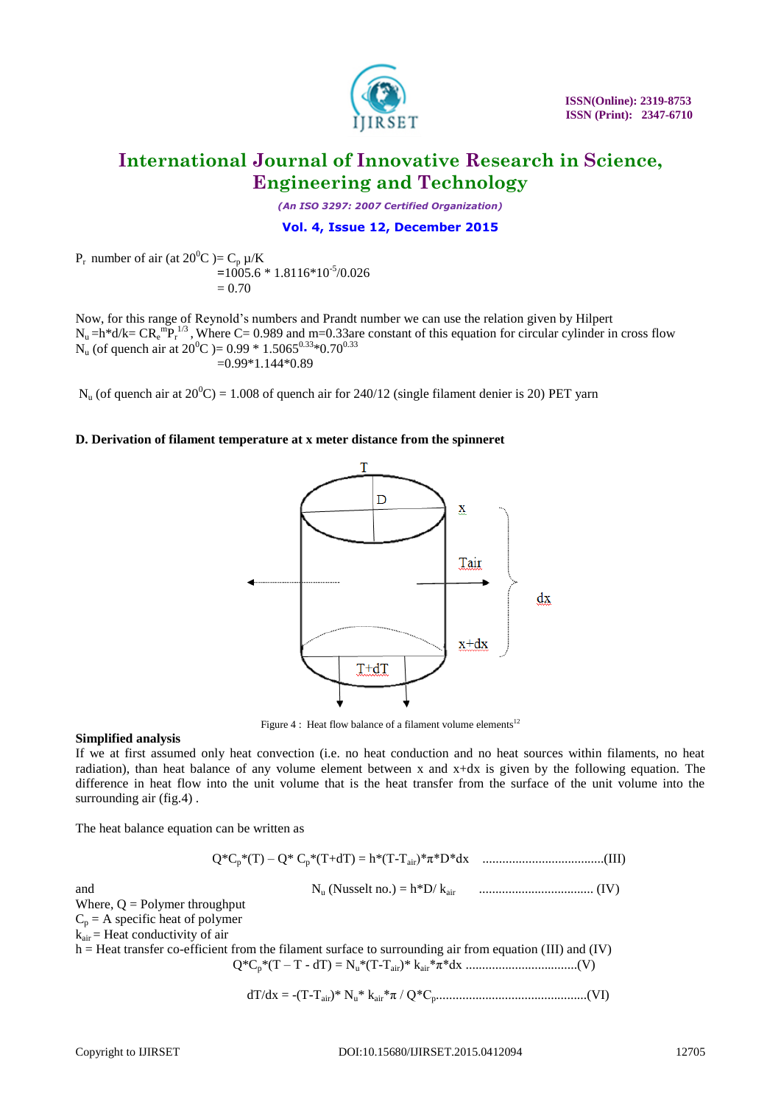![](_page_6_Picture_0.jpeg)

*(An ISO 3297: 2007 Certified Organization)*

### **Vol. 4, Issue 12, December 2015**

 $P_r$  number of air (at 20<sup>0</sup>C )= C<sub>p</sub>  $\mu$ /K **=**1005.6 \* 1.8116\*10-5 /0.026  $= 0.70$ 

Now, for this range of Reynold's numbers and Prandt number we can use the relation given by Hilpert  $N_u = h^*d/k = CR_e^{m}P_r^{1/3}$ , Where C= 0.989 and m=0.33are constant of this equation for circular cylinder in cross flow  $N_u$  (of quench air at 20<sup>0</sup>C )= 0.99  $*$  1.5065<sup>0.33</sup> $*$ 0.70<sup>0.33</sup>  $=0.99*1.144*0.89$ 

 $N_u$  (of quench air at  $20^0C$ ) = 1.008 of quench air for 240/12 (single filament denier is 20) PET yarn

### **D. Derivation of filament temperature at x meter distance from the spinneret**

![](_page_6_Figure_9.jpeg)

Figure 4 : Heat flow balance of a filament volume elements<sup>12</sup>

### **Simplified analysis**

If we at first assumed only heat convection (i.e. no heat conduction and no heat sources within filaments, no heat radiation), than heat balance of any volume element between x and x+dx is given by the following equation. The difference in heat flow into the unit volume that is the heat transfer from the surface of the unit volume into the surrounding air (fig.4) .

The heat balance equation can be written as

Q\*Cp\*(T) – Q\* Cp\*(T+dT) = h\*(T-Tair)\*π\*D\*dx .....................................(III)

and N<sup>u</sup> (Nusselt no.) = h\*D/ kair ................................... (IV)

Where,  $Q =$  Polymer throughput

 $C_p = A$  specific heat of polymer

 $k_{air}$  = Heat conductivity of air

 $h =$  Heat transfer co-efficient from the filament surface to surrounding air from equation (III) and (IV) Q\*Cp\*(T – T - dT) = Nu\*(T-Tair)\* kair\*π\*dx ..................................(V)

dT/dx = -(T-Tair)\* Nu\* kair\*π / Q\*Cp..............................................(VI)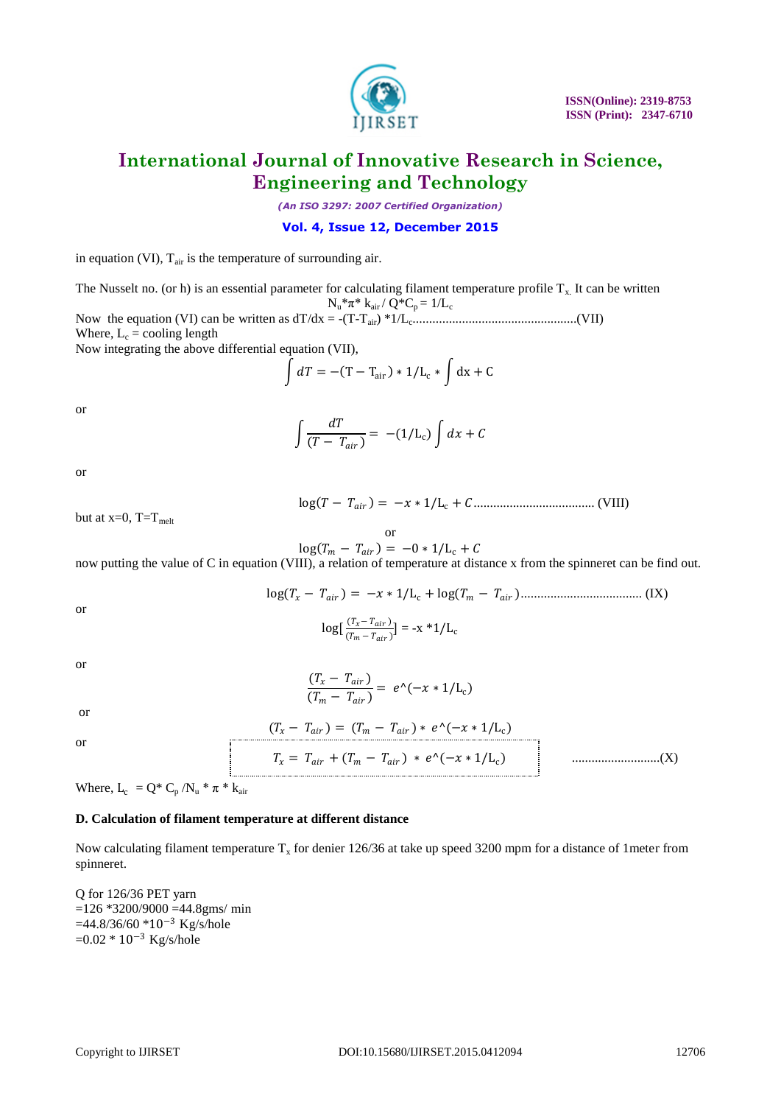![](_page_7_Picture_0.jpeg)

*(An ISO 3297: 2007 Certified Organization)*

### **Vol. 4, Issue 12, December 2015**

in equation (VI),  $T_{air}$  is the temperature of surrounding air.

The Nusselt no. (or h) is an essential parameter for calculating filament temperature profile  $T_x$ . It can be written  $N_u * \pi * k_{air} / Q * C_p = 1/L_c$ Now the equation (VI) can be written as dT/dx = -(T-Tair) \*1/L<sup>c</sup> ..................................................(VII) Where,  $L_c$  = cooling length

Now integrating the above differential equation (VII),

$$
\int dT = -(T - T_{\text{air}}) * 1/L_{\text{c}} * \int dx + C
$$

or

$$
\int \frac{dT}{(T - T_{air})} = -(1/L_c) \int dx + C
$$

or

 log − = − ∗ 1/L<sup>c</sup> +..................................... (VIII)

but at  $x=0$ ,  $T=T_{melt}$ 

$$
\log(T_m - T_{air}) = -0 * 1/L_c + C
$$

now putting the value of C in equation (VIII), a relation of temperature at distance x from the spinneret can be find out.

 log − = − ∗ 1/L<sup>c</sup> + log − ..................................... (IX)

or

$$
\log\left[\frac{(T_x - T_{air})}{(T_m - T_{air})}\right] = -x * 1/L_c
$$

or

$$
\frac{(T_x - T_{air})}{(T_m - T_{air})} = e^{\Lambda}(-x * 1/L_c)
$$

or

or

$$
f_{\rm{max}}
$$

 $(T_x - T_{air}) = (T_m - T_{air}) * e^{\Lambda}(-x * 1/L_c)$ 

$$
T_x = T_{air} + (T_m - T_{air}) * e^{\Lambda}(-x * 1/L_c)
$$
 (X)

Where,  $L_c = Q^* C_p / N_u * \pi * k_{air}$ 

#### **D. Calculation of filament temperature at different distance**

Now calculating filament temperature  $T_x$  for denier 126/36 at take up speed 3200 mpm for a distance of 1meter from spinneret.

Q for 126/36 PET yarn  $=126$  \*3200/9000  $=44.8$ gms/ min  $=44.8/36/60$  \*10<sup>-3</sup> Kg/s/hole =0.02 \* 10<sup>−</sup><sup>3</sup> Kg/s/hole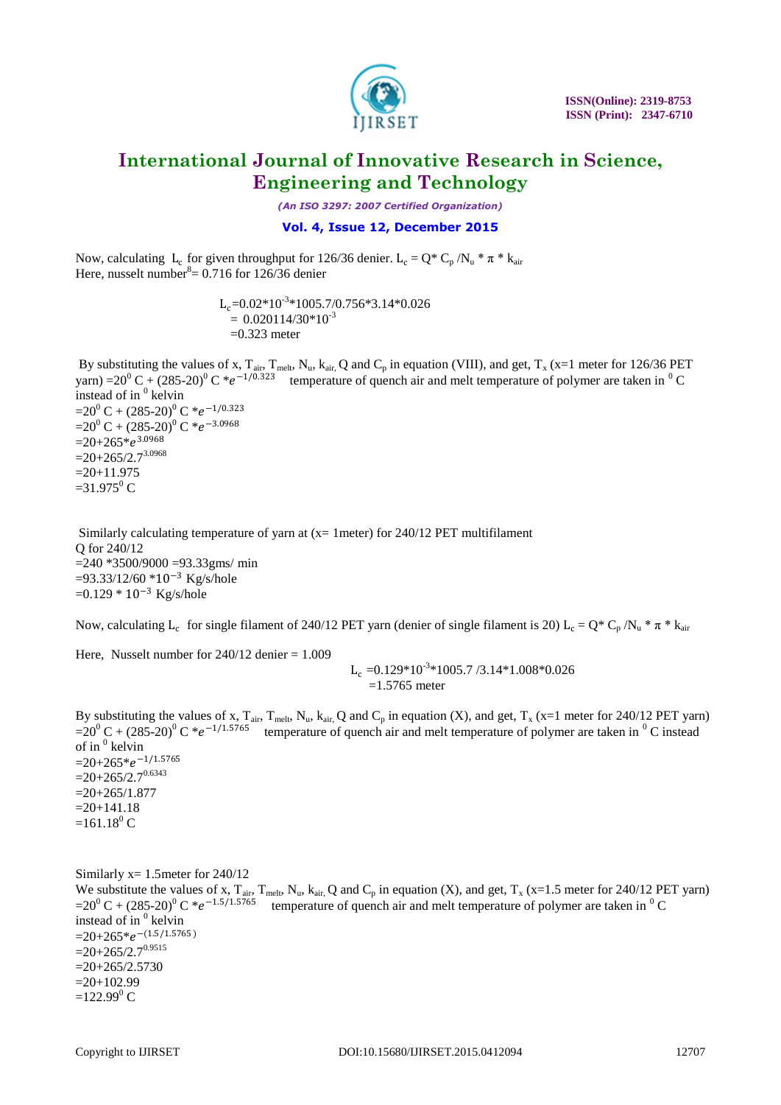![](_page_8_Picture_0.jpeg)

*(An ISO 3297: 2007 Certified Organization)*

# **Vol. 4, Issue 12, December 2015**

Now, calculating L<sub>c</sub> for given throughput for 126/36 denier. L<sub>c</sub> = Q\* C<sub>p</sub> /N<sub>u</sub> \*  $\pi$  \* k<sub>air</sub> Here, nusselt number<sup>8</sup> =  $0.716$  for 126/36 denier

 $L_c = 0.02*10^{-3}*1005.7/0.756*3.14*0.026$  $= 0.020114/30*10^{-3}$  $=0.323$  meter

By substituting the values of x,  $T_{air}$ ,  $T_{melt}$ ,  $N_u$ ,  $k_{air}$ , Q and  $C_p$  in equation (VIII), and get,  $T_x$  (x=1 meter for 126/36 PET yarn) =20<sup>0</sup> C + (285-20)<sup>0</sup> C \*e<sup>-1/0.323</sup> temperature of quench air and melt temperature of polymer are taken in <sup>0</sup> C instead of in  $<sup>0</sup>$  kelvin</sup> =20<sup>0</sup> C + (285-20)<sup>0</sup> C \*e<sup>-1/0.323</sup>  $=20^0 C + (285-20)^0 C *e^{-3.0968}$  $=20+265*e^{3.0968}$  $=20+265/2.7^{3.0968}$  $=20+11.975$  $=$ 31.975<sup>0</sup> C

Similarly calculating temperature of yarn at (x= 1meter) for 240/12 PET multifilament Q for 240/12  $=$  240  $*3500/9000 = 93.33$ gms/ min =93.33/12/60 \*10<sup>−</sup><sup>3</sup> Kg/s/hole =0.129 \* 10<sup>−</sup><sup>3</sup> Kg/s/hole

Now, calculating  $L_c$  for single filament of 240/12 PET yarn (denier of single filament is 20)  $L_c = Q^* C_p / N_u^* \pi^* k_{air}$ 

Here, Nusselt number for  $240/12$  denier = 1.009

 $\rm L_c$  =0.129\*10<sup>-3</sup>\*1005.7 /3.14\*1.008\*0.026  $=1.5765$  meter

By substituting the values of x,  $T_{air}$ ,  $T_{melt}$ ,  $N_u$ ,  $k_{air}$ , Q and  $C_p$  in equation (X), and get,  $T_x$  (x=1 meter for 240/12 PET yarn)  $=20^0 C + (285-20)^0 C *e^{-1/1.5765}$  temperature of quench air and melt temperature of polymer are taken in <sup>0</sup> C instead of in  $^0$  kelvin  $=20+265$ \* $e^{-1/1.5765}$  $=20+265/2.7^{0.6343}$  $=20+265/1.877$  $=20+141.18$  $=161.18^{0}$  C

Similarly x= 1.5meter for 240/12 We substitute the values of x,  $T_{air}$ ,  $T_{melt}$ ,  $N_u$ ,  $k_{air}$ , Q and  $C_p$  in equation (X), and get,  $T_x$  (x=1.5 meter for 240/12 PET yarn)  $=20^0 C + (285-20)^0 C *e^{-1.5/1.5765}$  temperature of quench air and melt temperature of polymer are taken in  $^0C$ instead of in <sup>0</sup> kelvin  $=20+265$ \* $e^{-(1.5/1.5765)}$  $=20+265/2.7^{0.9515}$  $=20+265/2.5730$  $=20+102.99$  $=122.99^{0}$  C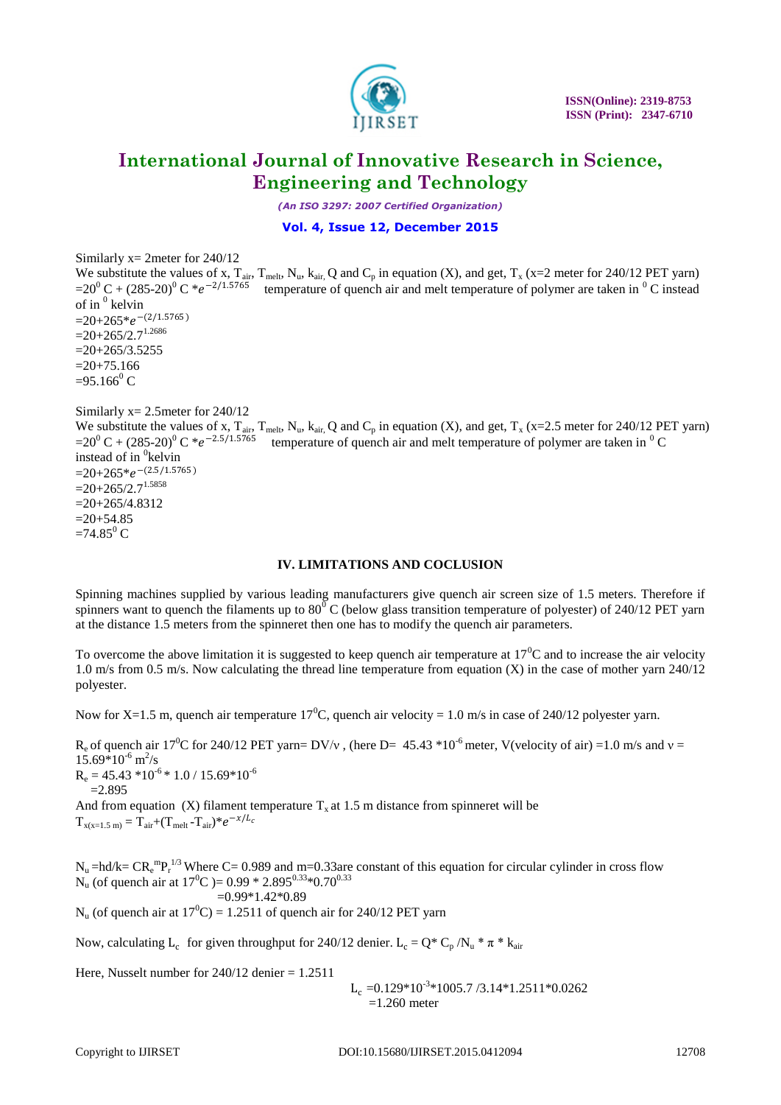![](_page_9_Picture_0.jpeg)

*(An ISO 3297: 2007 Certified Organization)*

**Vol. 4, Issue 12, December 2015**

Similarly x= 2meter for 240/12

We substitute the values of x,  $T_{air}$ ,  $T_{melt}$ ,  $N_u$ ,  $k_{air}$ , Q and  $C_p$  in equation (X), and get,  $T_x$  (x=2 meter for 240/12 PET yarn)  $=20^0 C + (285-20)^0 C *e^{-2/1.5765}$  temperature of quench air and melt temperature of polymer are taken in <sup>0</sup> C instead of in  $^0$  kelvin  $=20+265$ \* $e^{-(2/1.5765)}$  $=20+265/2.7$ <sup>1.2686</sup>  $=20+265/3.5255$  $=20+75.166$  $=95.166^{\circ}$  C Similarly  $x=2.5$  meter for  $240/12$ We substitute the values of x,  $T_{air}$ ,  $T_{melt}$ ,  $N_u$ ,  $k_{air}$ , Q and  $C_p$  in equation (X), and get,  $T_x$  (x=2.5 meter for 240/12 PET yarn)  $=20^0 C + (285-20)^0 C *e^{-2.5/1.5765}$  temperature of quench air and melt temperature of polymer are taken in  ${}^{0}C$ 

instead of in <sup>0</sup>kelvin  $=20+265$ \* $e^{-(2.5/1.5765)}$  $=20+265/2.7$ <sup>1.5858</sup>  $=20+265/4.8312$  $=20+54.85$  $=74.85$ <sup>0</sup> C

#### **IV. LIMITATIONS AND COCLUSION**

Spinning machines supplied by various leading manufacturers give quench air screen size of 1.5 meters. Therefore if spinners want to quench the filaments up to  $80^{\circ}$  C (below glass transition temperature of polyester) of 240/12 PET yarn at the distance 1.5 meters from the spinneret then one has to modify the quench air parameters.

To overcome the above limitation it is suggested to keep quench air temperature at  $17^{\circ}$ C and to increase the air velocity 1.0 m/s from 0.5 m/s. Now calculating the thread line temperature from equation (X) in the case of mother yarn 240/12 polyester.

Now for X=1.5 m, quench air temperature  $17^{\circ}$ C, quench air velocity = 1.0 m/s in case of 240/12 polyester yarn.

 $R_e$  of quench air 17<sup>0</sup>C for 240/12 PET yarn= DV/v, (here D= 45.43  $*10^{-6}$  meter, V(velocity of air) =1.0 m/s and v =  $15.69*10^{-6}$  m<sup>2</sup>/s  $R_e = 45.43 *10^{-6} * 1.0 / 15.69 * 10^{-6}$  $=2.895$ And from equation (X) filament temperature  $T<sub>x</sub>$  at 1.5 m distance from spinneret will be  $T_{\text{x(x=1.5 m)}} = T_{\text{air}} + (T_{\text{melt}} - T_{\text{air}}) * e^{-\chi/L_c}$ 

 $N_u$  =hd/k=  $CR_e^{m}P_r^{1/3}$  Where C= 0.989 and m=0.33are constant of this equation for circular cylinder in cross flow  $N_u$  (of quench air at 17<sup>0</sup>C )= 0.99  $*$  2.895<sup>0.33</sup> $*$ 0.70<sup>0.33</sup>

$$
=0.99*1.42*0.89
$$

 $N_{\text{u}}$  (of quench air at  $17^{\circ}$ C) = 1.2511 of quench air for 240/12 PET yarn

Now, calculating L<sub>c</sub> for given throughput for 240/12 denier. L<sub>c</sub> =  $Q^* C_p / N_u^* \pi^* k_{air}$ 

Here, Nusselt number for  $240/12$  denier = 1.2511

 $L_c = 0.129*10^{-3}*1005.7/3.14*1.2511*0.0262$  $=1.260$  meter